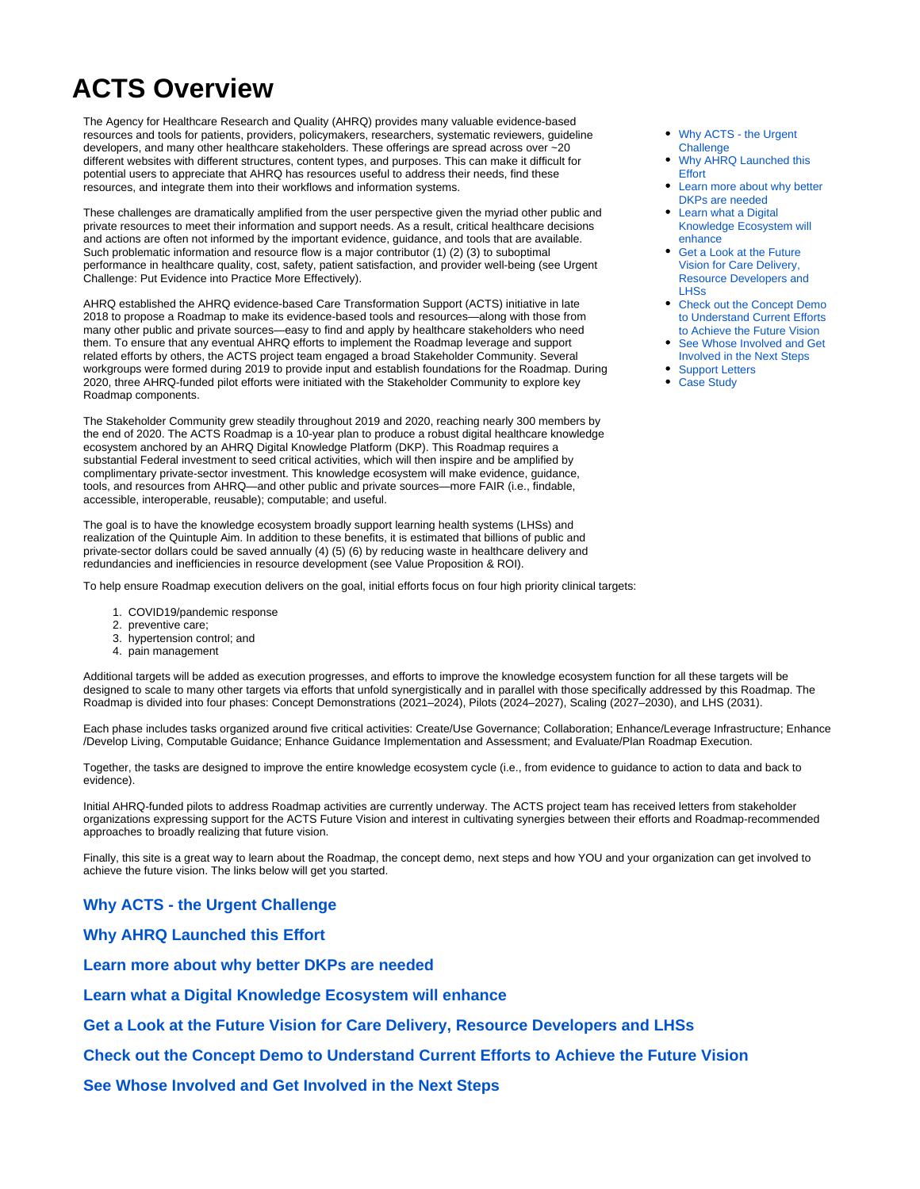## **ACTS Overview**

The Agency for Healthcare Research and Quality (AHRQ) provides many valuable evidence-based resources and tools for patients, providers, policymakers, researchers, systematic reviewers, guideline developers, and many other healthcare stakeholders. These offerings are spread across over ~20 different websites with different structures, content types, and purposes. This can make it difficult for potential users to appreciate that AHRQ has resources useful to address their needs, find these resources, and integrate them into their workflows and information systems.

These challenges are dramatically amplified from the user perspective given the myriad other public and private resources to meet their information and support needs. As a result, critical healthcare decisions and actions are often not informed by the important evidence, guidance, and tools that are available. Such problematic information and resource flow is a major contributor (1) (2) (3) to suboptimal performance in healthcare quality, cost, safety, patient satisfaction, and provider well-being (see Urgent Challenge: Put Evidence into Practice More Effectively).

AHRQ established the AHRQ evidence-based Care Transformation Support (ACTS) initiative in late 2018 to propose a Roadmap to make its evidence-based tools and resources—along with those from many other public and private sources—easy to find and apply by healthcare stakeholders who need them. To ensure that any eventual AHRQ efforts to implement the Roadmap leverage and support related efforts by others, the ACTS project team engaged a broad Stakeholder Community. Several workgroups were formed during 2019 to provide input and establish foundations for the Roadmap. During 2020, three AHRQ-funded pilot efforts were initiated with the Stakeholder Community to explore key Roadmap components.

The Stakeholder Community grew steadily throughout 2019 and 2020, reaching nearly 300 members by the end of 2020. The ACTS Roadmap is a 10-year plan to produce a robust digital healthcare knowledge ecosystem anchored by an AHRQ Digital Knowledge Platform (DKP). This Roadmap requires a substantial Federal investment to seed critical activities, which will then inspire and be amplified by complimentary private-sector investment. This knowledge ecosystem will make evidence, guidance, tools, and resources from AHRQ—and other public and private sources—more FAIR (i.e., findable, accessible, interoperable, reusable); computable; and useful.

The goal is to have the knowledge ecosystem broadly support learning health systems (LHSs) and realization of the Quintuple Aim. In addition to these benefits, it is estimated that billions of public and private-sector dollars could be saved annually (4) (5) (6) by reducing waste in healthcare delivery and redundancies and inefficiencies in resource development (see Value Proposition & ROI).

To help ensure Roadmap execution delivers on the goal, initial efforts focus on four high priority clinical targets:

- 1. COVID19/pandemic response
- 2. preventive care;
- 3. hypertension control; and
- 4. pain management

Additional targets will be added as execution progresses, and efforts to improve the knowledge ecosystem function for all these targets will be designed to scale to many other targets via efforts that unfold synergistically and in parallel with those specifically addressed by this Roadmap. The Roadmap is divided into four phases: Concept Demonstrations (2021–2024), Pilots (2024–2027), Scaling (2027–2030), and LHS (2031).

Each phase includes tasks organized around five critical activities: Create/Use Governance; Collaboration; Enhance/Leverage Infrastructure; Enhance /Develop Living, Computable Guidance; Enhance Guidance Implementation and Assessment; and Evaluate/Plan Roadmap Execution.

Together, the tasks are designed to improve the entire knowledge ecosystem cycle (i.e., from evidence to guidance to action to data and back to evidence).

Initial AHRQ-funded pilots to address Roadmap activities are currently underway. The ACTS project team has received letters from stakeholder organizations expressing support for the ACTS Future Vision and interest in cultivating synergies between their efforts and Roadmap-recommended approaches to broadly realizing that future vision.

Finally, this site is a great way to learn about the Roadmap, the concept demo, next steps and how YOU and your organization can get involved to achieve the future vision. The links below will get you started.

## <span id="page-0-0"></span>**[Why ACTS - the Urgent Challenge](https://covid-acts.ahrq.gov/display/PUB/Why+ACTS+-+the+Urgent+Challenge)**

<span id="page-0-1"></span>**[Why AHRQ Launched this Effort](https://covid-acts.ahrq.gov/display/PUB/Why+AHRQ+Launched+this+Effort)**

<span id="page-0-2"></span>**[Learn more about why better DKPs are needed](https://covid-acts.ahrq.gov/display/PUB/Why+Better+DKPs+are+Needed)**

<span id="page-0-3"></span>**[Learn what a Digital Knowledge Ecosystem will enhance](https://covid-acts.ahrq.gov/display/PUB/What+a+Digital+Knowledge+Ecosystem+Will+Enhance)**

<span id="page-0-4"></span>**[Get a Look at the Future Vision for Care Delivery, Resource Developers and LHSs](https://covid-acts.ahrq.gov/display/PUB/Future+Vision)**

<span id="page-0-5"></span>**[Check out the Concept Demo to Understand Current Efforts to Achieve the Future Vision](https://covid-acts.ahrq.gov/display/PUB/ACTS+LHS+Concept+Demonstration?src=contextnavpagetreemode)**

<span id="page-0-7"></span><span id="page-0-6"></span>**[See Whose Involved and Get Involved in the Next Steps](https://covid-acts.ahrq.gov/display/PUB/Next+Steps)**

- [Why ACTS the Urgent](#page-0-0)  **[Challenge](#page-0-0)**
- Why AHRQ Launched this **[Effort](#page-0-1)**
- [Learn more about why better](#page-0-2)  [DKPs are needed](#page-0-2)
- [Learn what a Digital](#page-0-3)  [Knowledge Ecosystem will](#page-0-3)  [enhance](#page-0-3)
- [Get a Look at the Future](#page-0-4)  [Vision for Care Delivery,](#page-0-4)  [Resource Developers and](#page-0-4)  [LHSs](#page-0-4)
- [Check out the Concept Demo](#page-0-5)  [to Understand Current Efforts](#page-0-5)  [to Achieve the Future Vision](#page-0-5)
- See Whose Involved and Get [Involved in the Next Steps](#page-0-6)
- [Support Letters](#page-0-7)
- [Case Study](#page-1-0)